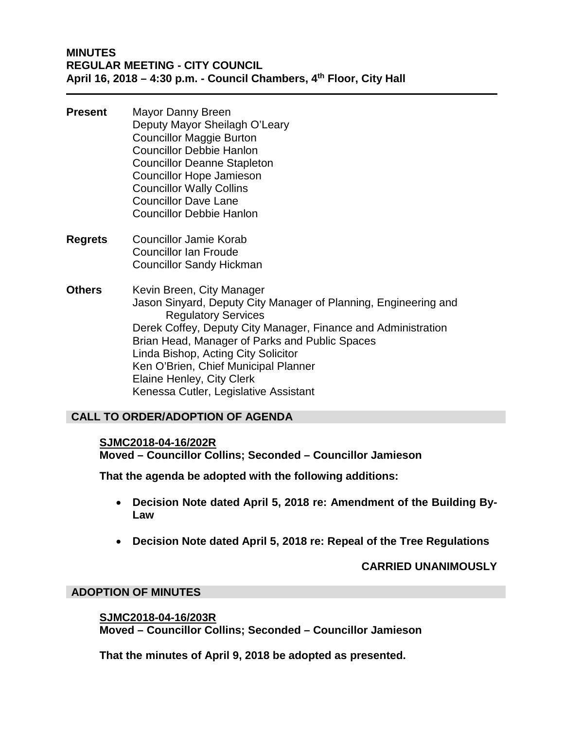## **MINUTES REGULAR MEETING - CITY COUNCIL April 16, 2018 – 4:30 p.m. - Council Chambers, 4th Floor, City Hall**

- **Present** Mayor Danny Breen Deputy Mayor Sheilagh O'Leary Councillor Maggie Burton Councillor Debbie Hanlon Councillor Deanne Stapleton Councillor Hope Jamieson Councillor Wally Collins Councillor Dave Lane Councillor Debbie Hanlon
- **Regrets** Councillor Jamie Korab Councillor Ian Froude Councillor Sandy Hickman
- **Others** Kevin Breen, City Manager Jason Sinyard, Deputy City Manager of Planning, Engineering and Regulatory Services Derek Coffey, Deputy City Manager, Finance and Administration Brian Head, Manager of Parks and Public Spaces Linda Bishop, Acting City Solicitor Ken O'Brien, Chief Municipal Planner Elaine Henley, City Clerk Kenessa Cutler, Legislative Assistant

## **CALL TO ORDER/ADOPTION OF AGENDA**

### **SJMC2018-04-16/202R**

**Moved – Councillor Collins; Seconded – Councillor Jamieson**

**That the agenda be adopted with the following additions:** 

- **Decision Note dated April 5, 2018 re: Amendment of the Building By-Law**
- **Decision Note dated April 5, 2018 re: Repeal of the Tree Regulations**

### **CARRIED UNANIMOUSLY**

### **ADOPTION OF MINUTES**

**SJMC2018-04-16/203R Moved – Councillor Collins; Seconded – Councillor Jamieson**

**That the minutes of April 9, 2018 be adopted as presented.**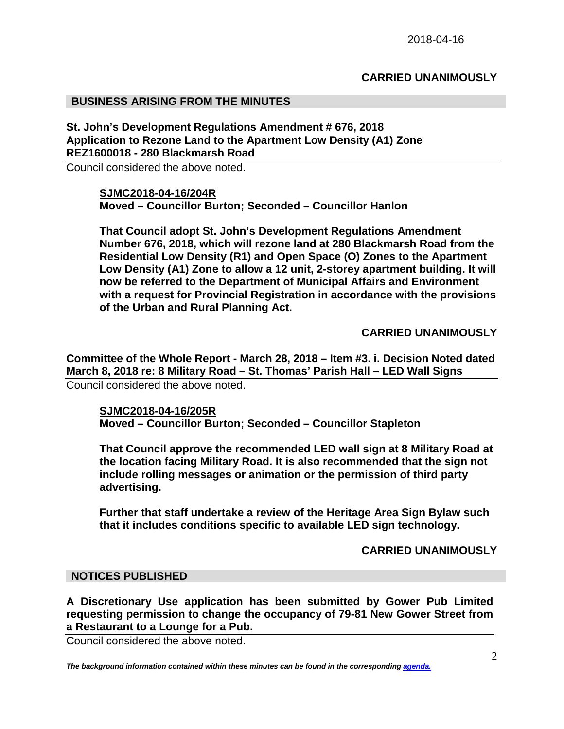## **CARRIED UNANIMOUSLY**

### **BUSINESS ARISING FROM THE MINUTES**

**St. John's Development Regulations Amendment # 676, 2018 Application to Rezone Land to the Apartment Low Density (A1) Zone REZ1600018 - 280 Blackmarsh Road**

Council considered the above noted.

**SJMC2018-04-16/204R Moved – Councillor Burton; Seconded – Councillor Hanlon**

**That Council adopt St. John's Development Regulations Amendment Number 676, 2018, which will rezone land at 280 Blackmarsh Road from the Residential Low Density (R1) and Open Space (O) Zones to the Apartment Low Density (A1) Zone to allow a 12 unit, 2-storey apartment building. It will now be referred to the Department of Municipal Affairs and Environment with a request for Provincial Registration in accordance with the provisions of the Urban and Rural Planning Act.**

**CARRIED UNANIMOUSLY**

**Committee of the Whole Report - March 28, 2018 – Item #3. i. Decision Noted dated March 8, 2018 re: 8 Military Road – St. Thomas' Parish Hall – LED Wall Signs** Council considered the above noted.

**SJMC2018-04-16/205R Moved – Councillor Burton; Seconded – Councillor Stapleton**

**That Council approve the recommended LED wall sign at 8 Military Road at the location facing Military Road. It is also recommended that the sign not include rolling messages or animation or the permission of third party advertising.**

**Further that staff undertake a review of the Heritage Area Sign Bylaw such that it includes conditions specific to available LED sign technology.**

**CARRIED UNANIMOUSLY**

#### **NOTICES PUBLISHED**

**A Discretionary Use application has been submitted by Gower Pub Limited requesting permission to change the occupancy of 79-81 New Gower Street from a Restaurant to a Lounge for a Pub.**

Council considered the above noted.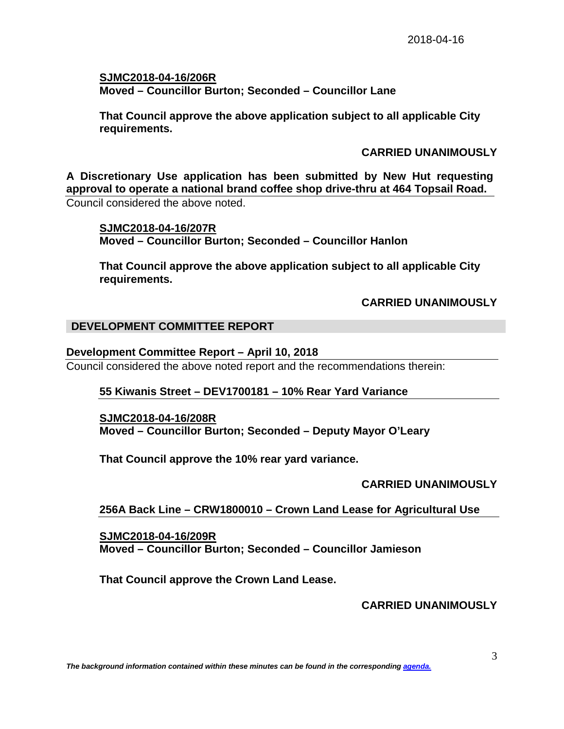**SJMC2018-04-16/206R Moved – Councillor Burton; Seconded – Councillor Lane**

**That Council approve the above application subject to all applicable City requirements.**

## **CARRIED UNANIMOUSLY**

**A Discretionary Use application has been submitted by New Hut requesting approval to operate a national brand coffee shop drive-thru at 464 Topsail Road.** Council considered the above noted.

**SJMC2018-04-16/207R Moved – Councillor Burton; Seconded – Councillor Hanlon**

**That Council approve the above application subject to all applicable City requirements.**

## **CARRIED UNANIMOUSLY**

## **DEVELOPMENT COMMITTEE REPORT**

### **Development Committee Report – April 10, 2018**

Council considered the above noted report and the recommendations therein:

### **55 Kiwanis Street – DEV1700181 – 10% Rear Yard Variance**

**SJMC2018-04-16/208R Moved – Councillor Burton; Seconded – Deputy Mayor O'Leary**

**That Council approve the 10% rear yard variance.**

## **CARRIED UNANIMOUSLY**

## **256A Back Line – CRW1800010 – Crown Land Lease for Agricultural Use**

**SJMC2018-04-16/209R Moved – Councillor Burton; Seconded – Councillor Jamieson**

**That Council approve the Crown Land Lease.**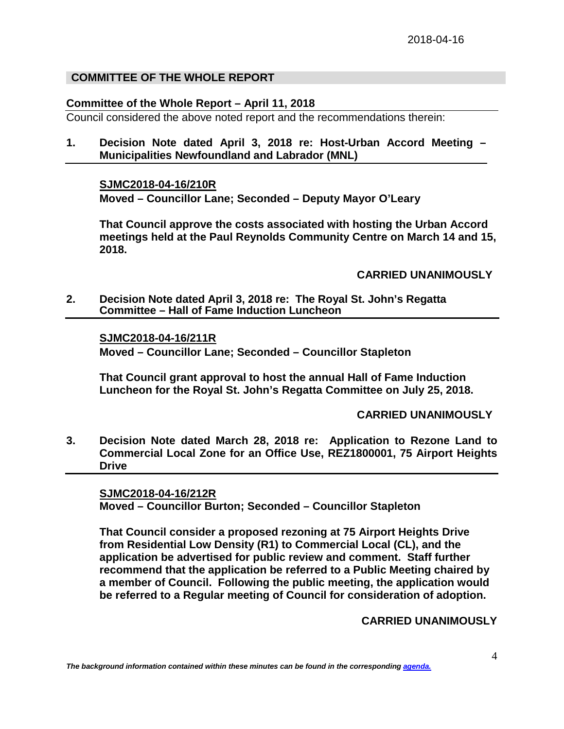## **COMMITTEE OF THE WHOLE REPORT**

### **Committee of the Whole Report – April 11, 2018**

Council considered the above noted report and the recommendations therein:

**1. Decision Note dated April 3, 2018 re: Host-Urban Accord Meeting – Municipalities Newfoundland and Labrador (MNL)**

**SJMC2018-04-16/210R**

**Moved – Councillor Lane; Seconded – Deputy Mayor O'Leary**

**That Council approve the costs associated with hosting the Urban Accord meetings held at the Paul Reynolds Community Centre on March 14 and 15, 2018.**

**CARRIED UNANIMOUSLY**

**2. Decision Note dated April 3, 2018 re: The Royal St. John's Regatta Committee – Hall of Fame Induction Luncheon**

**SJMC2018-04-16/211R Moved – Councillor Lane; Seconded – Councillor Stapleton**

**That Council grant approval to host the annual Hall of Fame Induction Luncheon for the Royal St. John's Regatta Committee on July 25, 2018.**

**CARRIED UNANIMOUSLY**

**3. Decision Note dated March 28, 2018 re: Application to Rezone Land to Commercial Local Zone for an Office Use, REZ1800001, 75 Airport Heights Drive**

**SJMC2018-04-16/212R Moved – Councillor Burton; Seconded – Councillor Stapleton**

**That Council consider a proposed rezoning at 75 Airport Heights Drive from Residential Low Density (R1) to Commercial Local (CL), and the application be advertised for public review and comment. Staff further recommend that the application be referred to a Public Meeting chaired by a member of Council. Following the public meeting, the application would be referred to a Regular meeting of Council for consideration of adoption.**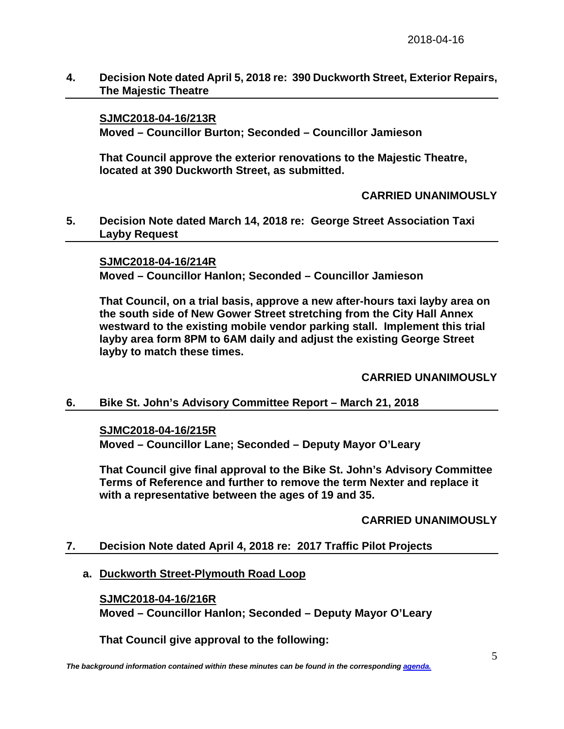## **4. Decision Note dated April 5, 2018 re: 390 Duckworth Street, Exterior Repairs, The Majestic Theatre**

## **SJMC2018-04-16/213R**

**Moved – Councillor Burton; Seconded – Councillor Jamieson**

**That Council approve the exterior renovations to the Majestic Theatre, located at 390 Duckworth Street, as submitted.** 

**CARRIED UNANIMOUSLY**

**5. Decision Note dated March 14, 2018 re: George Street Association Taxi Layby Request**

**SJMC2018-04-16/214R Moved – Councillor Hanlon; Seconded – Councillor Jamieson**

**That Council, on a trial basis, approve a new after-hours taxi layby area on the south side of New Gower Street stretching from the City Hall Annex westward to the existing mobile vendor parking stall. Implement this trial layby area form 8PM to 6AM daily and adjust the existing George Street layby to match these times.**

**CARRIED UNANIMOUSLY**

### **6. Bike St. John's Advisory Committee Report – March 21, 2018**

### **SJMC2018-04-16/215R**

**Moved – Councillor Lane; Seconded – Deputy Mayor O'Leary**

**That Council give final approval to the Bike St. John's Advisory Committee Terms of Reference and further to remove the term Nexter and replace it with a representative between the ages of 19 and 35.**

**CARRIED UNANIMOUSLY**

### **7. Decision Note dated April 4, 2018 re: 2017 Traffic Pilot Projects**

### **a. Duckworth Street-Plymouth Road Loop**

### **SJMC2018-04-16/216R**

**Moved – Councillor Hanlon; Seconded – Deputy Mayor O'Leary**

**That Council give approval to the following:**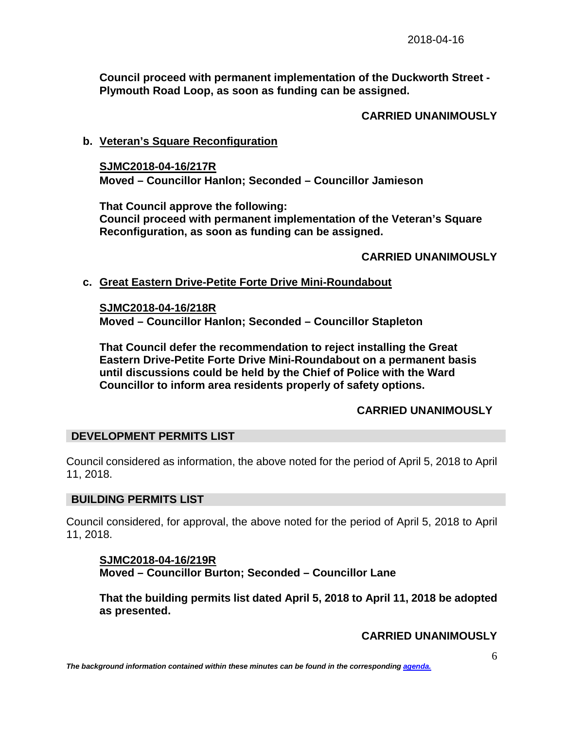**Council proceed with permanent implementation of the Duckworth Street - Plymouth Road Loop, as soon as funding can be assigned.**

# **CARRIED UNANIMOUSLY**

## **b. Veteran's Square Reconfiguration**

**SJMC2018-04-16/217R Moved – Councillor Hanlon; Seconded – Councillor Jamieson**

**That Council approve the following: Council proceed with permanent implementation of the Veteran's Square Reconfiguration, as soon as funding can be assigned.**

## **CARRIED UNANIMOUSLY**

## **c. Great Eastern Drive-Petite Forte Drive Mini-Roundabout**

**SJMC2018-04-16/218R** 

**Moved – Councillor Hanlon; Seconded – Councillor Stapleton**

**That Council defer the recommendation to reject installing the Great Eastern Drive-Petite Forte Drive Mini-Roundabout on a permanent basis until discussions could be held by the Chief of Police with the Ward Councillor to inform area residents properly of safety options.** 

## **CARRIED UNANIMOUSLY**

## **DEVELOPMENT PERMITS LIST**

Council considered as information, the above noted for the period of April 5, 2018 to April 11, 2018.

## **BUILDING PERMITS LIST**

Council considered, for approval, the above noted for the period of April 5, 2018 to April 11, 2018.

## **SJMC2018-04-16/219R Moved – Councillor Burton; Seconded – Councillor Lane**

**That the building permits list dated April 5, 2018 to April 11, 2018 be adopted as presented.**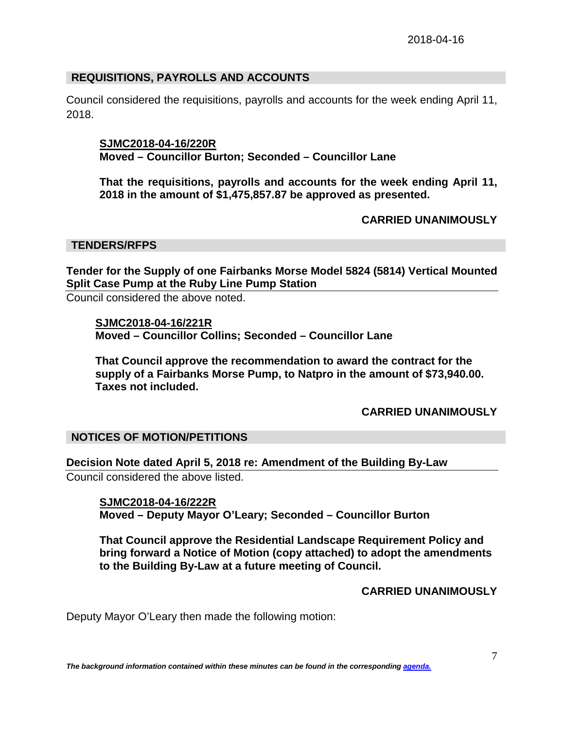## **REQUISITIONS, PAYROLLS AND ACCOUNTS**

Council considered the requisitions, payrolls and accounts for the week ending April 11, 2018.

### **SJMC2018-04-16/220R**

**Moved – Councillor Burton; Seconded – Councillor Lane**

**That the requisitions, payrolls and accounts for the week ending April 11, 2018 in the amount of \$1,475,857.87 be approved as presented.**

## **CARRIED UNANIMOUSLY**

### **TENDERS/RFPS**

**Tender for the Supply of one Fairbanks Morse Model 5824 (5814) Vertical Mounted Split Case Pump at the Ruby Line Pump Station**

Council considered the above noted.

**SJMC2018-04-16/221R Moved – Councillor Collins; Seconded – Councillor Lane**

**That Council approve the recommendation to award the contract for the supply of a Fairbanks Morse Pump, to Natpro in the amount of \$73,940.00. Taxes not included.**

## **CARRIED UNANIMOUSLY**

## **NOTICES OF MOTION/PETITIONS**

**Decision Note dated April 5, 2018 re: Amendment of the Building By-Law** Council considered the above listed.

**SJMC2018-04-16/222R Moved – Deputy Mayor O'Leary; Seconded – Councillor Burton**

**That Council approve the Residential Landscape Requirement Policy and bring forward a Notice of Motion (copy attached) to adopt the amendments to the Building By-Law at a future meeting of Council.**

### **CARRIED UNANIMOUSLY**

Deputy Mayor O'Leary then made the following motion: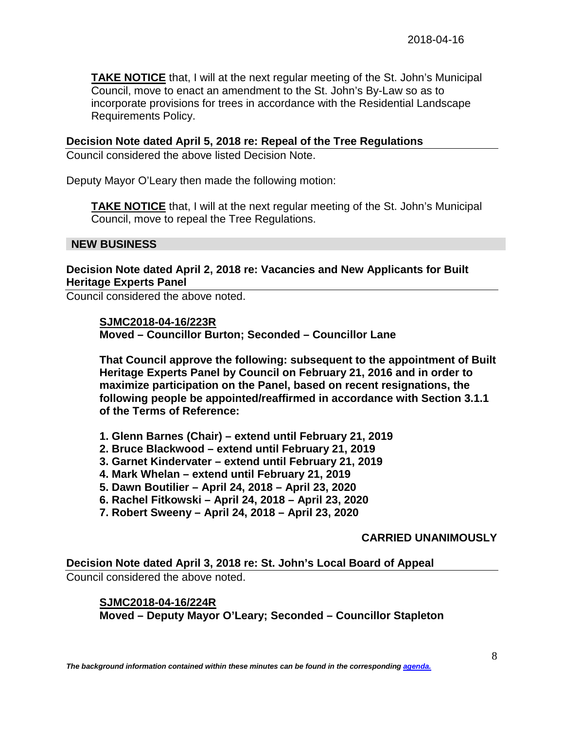**TAKE NOTICE** that, I will at the next regular meeting of the St. John's Municipal Council, move to enact an amendment to the St. John's By-Law so as to incorporate provisions for trees in accordance with the Residential Landscape Requirements Policy.

### **Decision Note dated April 5, 2018 re: Repeal of the Tree Regulations**

Council considered the above listed Decision Note.

Deputy Mayor O'Leary then made the following motion:

**TAKE NOTICE** that, I will at the next regular meeting of the St. John's Municipal Council, move to repeal the Tree Regulations.

### **NEW BUSINESS**

## **Decision Note dated April 2, 2018 re: Vacancies and New Applicants for Built Heritage Experts Panel**

Council considered the above noted.

#### **SJMC2018-04-16/223R**

**Moved – Councillor Burton; Seconded – Councillor Lane** 

**That Council approve the following: subsequent to the appointment of Built Heritage Experts Panel by Council on February 21, 2016 and in order to maximize participation on the Panel, based on recent resignations, the following people be appointed/reaffirmed in accordance with Section 3.1.1 of the Terms of Reference:**

- **1. Glenn Barnes (Chair) – extend until February 21, 2019**
- **2. Bruce Blackwood – extend until February 21, 2019**
- **3. Garnet Kindervater – extend until February 21, 2019**
- **4. Mark Whelan – extend until February 21, 2019**
- **5. Dawn Boutilier – April 24, 2018 – April 23, 2020**
- **6. Rachel Fitkowski – April 24, 2018 – April 23, 2020**
- **7. Robert Sweeny – April 24, 2018 – April 23, 2020**

### **CARRIED UNANIMOUSLY**

**Decision Note dated April 3, 2018 re: St. John's Local Board of Appeal** 

Council considered the above noted.

### **SJMC2018-04-16/224R**

**Moved – Deputy Mayor O'Leary; Seconded – Councillor Stapleton**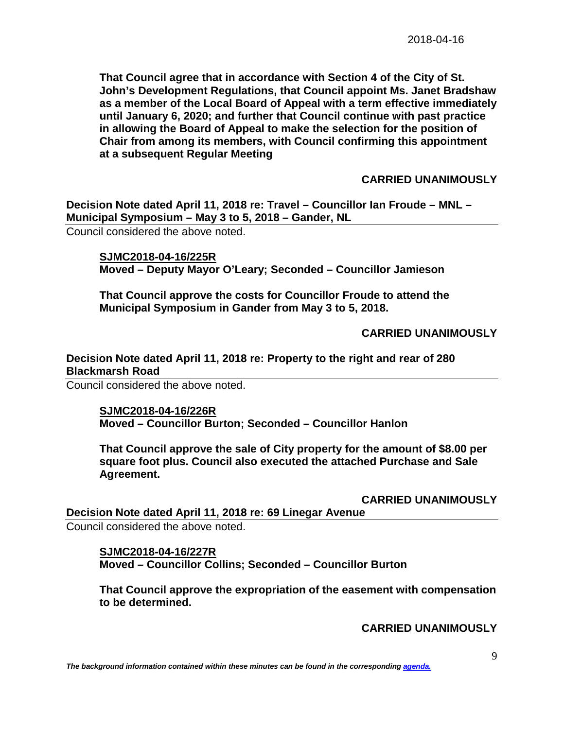**That Council agree that in accordance with Section 4 of the City of St. John's Development Regulations, that Council appoint Ms. Janet Bradshaw as a member of the Local Board of Appeal with a term effective immediately until January 6, 2020; and further that Council continue with past practice in allowing the Board of Appeal to make the selection for the position of Chair from among its members, with Council confirming this appointment at a subsequent Regular Meeting**

## **CARRIED UNANIMOUSLY**

**Decision Note dated April 11, 2018 re: Travel – Councillor Ian Froude – MNL – Municipal Symposium – May 3 to 5, 2018 – Gander, NL**

Council considered the above noted.

**SJMC2018-04-16/225R Moved – Deputy Mayor O'Leary; Seconded – Councillor Jamieson**

**That Council approve the costs for Councillor Froude to attend the Municipal Symposium in Gander from May 3 to 5, 2018.**

## **CARRIED UNANIMOUSLY**

## **Decision Note dated April 11, 2018 re: Property to the right and rear of 280 Blackmarsh Road**

Council considered the above noted.

### **SJMC2018-04-16/226R Moved – Councillor Burton; Seconded – Councillor Hanlon**

**That Council approve the sale of City property for the amount of \$8.00 per square foot plus. Council also executed the attached Purchase and Sale Agreement.**

**CARRIED UNANIMOUSLY**

**Decision Note dated April 11, 2018 re: 69 Linegar Avenue** Council considered the above noted.

### **SJMC2018-04-16/227R**

**Moved – Councillor Collins; Seconded – Councillor Burton**

**That Council approve the expropriation of the easement with compensation to be determined.**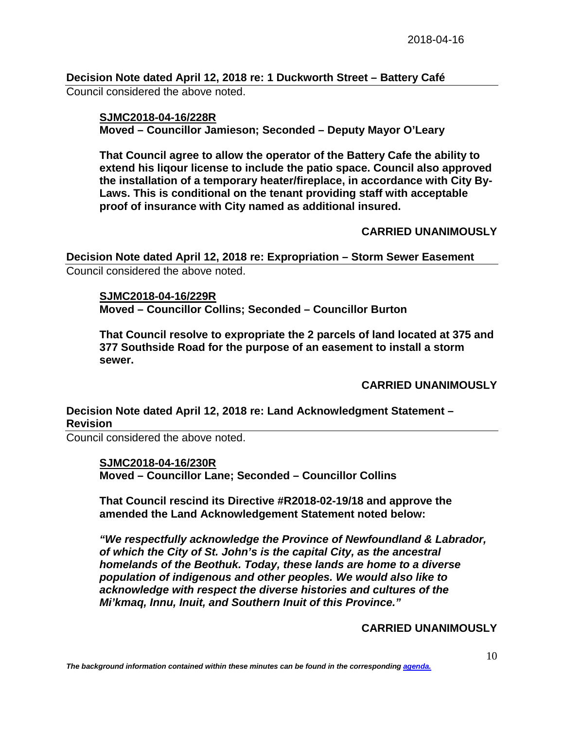**Decision Note dated April 12, 2018 re: 1 Duckworth Street – Battery Café** Council considered the above noted.

**SJMC2018-04-16/228R Moved – Councillor Jamieson; Seconded – Deputy Mayor O'Leary**

**That Council agree to allow the operator of the Battery Cafe the ability to extend his liqour license to include the patio space. Council also approved the installation of a temporary heater/fireplace, in accordance with City By-Laws. This is conditional on the tenant providing staff with acceptable proof of insurance with City named as additional insured.**

### **CARRIED UNANIMOUSLY**

**Decision Note dated April 12, 2018 re: Expropriation – Storm Sewer Easement** Council considered the above noted.

**SJMC2018-04-16/229R**

**Moved – Councillor Collins; Seconded – Councillor Burton**

**That Council resolve to expropriate the 2 parcels of land located at 375 and 377 Southside Road for the purpose of an easement to install a storm sewer.**

### **CARRIED UNANIMOUSLY**

## **Decision Note dated April 12, 2018 re: Land Acknowledgment Statement – Revision**

Council considered the above noted.

### **SJMC2018-04-16/230R**

**Moved – Councillor Lane; Seconded – Councillor Collins**

**That Council rescind its Directive #R2018-02-19/18 and approve the amended the Land Acknowledgement Statement noted below:**

*"We respectfully acknowledge the Province of Newfoundland & Labrador, of which the City of St. John's is the capital City, as the ancestral homelands of the Beothuk. Today, these lands are home to a diverse population of indigenous and other peoples. We would also like to acknowledge with respect the diverse histories and cultures of the Mi'kmaq, Innu, Inuit, and Southern Inuit of this Province."*